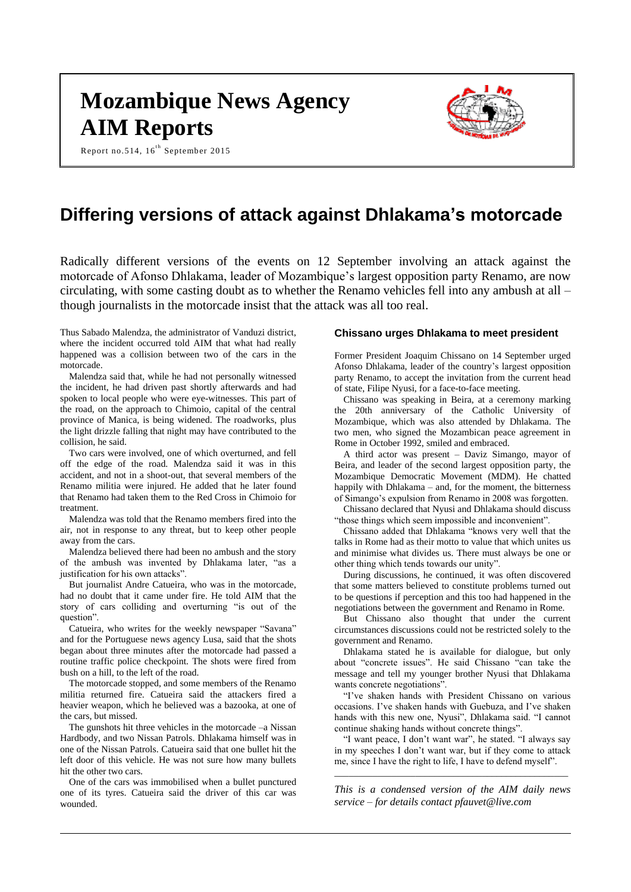# **Mozambique News Agency AIM Reports**





# **Differing versions of attack against Dhlakama's motorcade**

Radically different versions of the events on 12 September involving an attack against the motorcade of Afonso Dhlakama, leader of Mozambique's largest opposition party Renamo, are now circulating, with some casting doubt as to whether the Renamo vehicles fell into any ambush at all – though journalists in the motorcade insist that the attack was all too real.

Thus Sabado Malendza, the administrator of Vanduzi district, where the incident occurred told AIM that what had really happened was a collision between two of the cars in the motorcade.

Malendza said that, while he had not personally witnessed the incident, he had driven past shortly afterwards and had spoken to local people who were eye-witnesses. This part of the road, on the approach to Chimoio, capital of the central province of Manica, is being widened. The roadworks, plus the light drizzle falling that night may have contributed to the collision, he said.

Two cars were involved, one of which overturned, and fell off the edge of the road. Malendza said it was in this accident, and not in a shoot-out, that several members of the Renamo militia were injured. He added that he later found that Renamo had taken them to the Red Cross in Chimoio for treatment.

Malendza was told that the Renamo members fired into the air, not in response to any threat, but to keep other people away from the cars.

Malendza believed there had been no ambush and the story of the ambush was invented by Dhlakama later, "as a justification for his own attacks".

But journalist Andre Catueira, who was in the motorcade, had no doubt that it came under fire. He told AIM that the story of cars colliding and overturning "is out of the question".

Catueira, who writes for the weekly newspaper "Savana" and for the Portuguese news agency Lusa, said that the shots began about three minutes after the motorcade had passed a routine traffic police checkpoint. The shots were fired from bush on a hill, to the left of the road.

The motorcade stopped, and some members of the Renamo militia returned fire. Catueira said the attackers fired a heavier weapon, which he believed was a bazooka, at one of the cars, but missed.

The gunshots hit three vehicles in the motorcade –a Nissan Hardbody, and two Nissan Patrols. Dhlakama himself was in one of the Nissan Patrols. Catueira said that one bullet hit the left door of this vehicle. He was not sure how many bullets hit the other two cars.

One of the cars was immobilised when a bullet punctured one of its tyres. Catueira said the driver of this car was wounded.

## **Chissano urges Dhlakama to meet president**

Former President Joaquim Chissano on 14 September urged Afonso Dhlakama, leader of the country's largest opposition party Renamo, to accept the invitation from the current head of state, Filipe Nyusi, for a face-to-face meeting.

Chissano was speaking in Beira, at a ceremony marking the 20th anniversary of the Catholic University of Mozambique, which was also attended by Dhlakama. The two men, who signed the Mozambican peace agreement in Rome in October 1992, smiled and embraced.

A third actor was present – Daviz Simango, mayor of Beira, and leader of the second largest opposition party, the Mozambique Democratic Movement (MDM). He chatted happily with Dhlakama – and, for the moment, the bitterness of Simango's expulsion from Renamo in 2008 was forgotten.

Chissano declared that Nyusi and Dhlakama should discuss "those things which seem impossible and inconvenient".

Chissano added that Dhlakama "knows very well that the talks in Rome had as their motto to value that which unites us and minimise what divides us. There must always be one or other thing which tends towards our unity".

During discussions, he continued, it was often discovered that some matters believed to constitute problems turned out to be questions if perception and this too had happened in the negotiations between the government and Renamo in Rome.

But Chissano also thought that under the current circumstances discussions could not be restricted solely to the government and Renamo.

Dhlakama stated he is available for dialogue, but only about "concrete issues". He said Chissano "can take the message and tell my younger brother Nyusi that Dhlakama wants concrete negotiations".

"I've shaken hands with President Chissano on various occasions. I've shaken hands with Guebuza, and I've shaken hands with this new one, Nyusi", Dhlakama said. "I cannot continue shaking hands without concrete things".

"I want peace, I don't want war", he stated. "I always say in my speeches I don't want war, but if they come to attack me, since I have the right to life, I have to defend myself".

\_\_\_\_\_\_\_\_\_\_\_\_\_\_\_\_\_\_\_\_\_\_\_\_\_\_\_\_\_\_\_\_\_\_\_\_\_\_\_\_\_\_\_\_\_\_\_\_\_

*This is a condensed version of the AIM daily news service – for details contact [pfauvet@live.com](mailto:pfauvet@live.com)*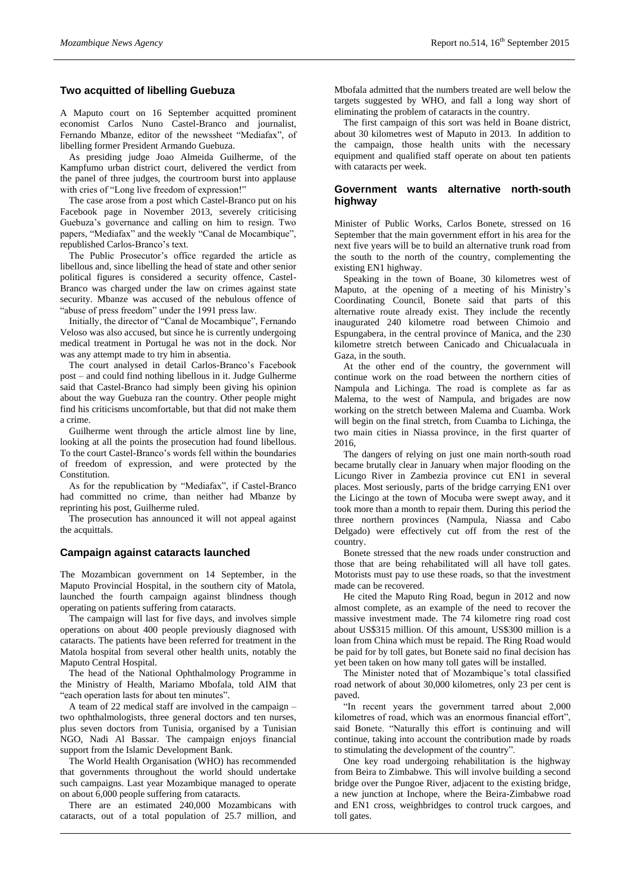# **Two acquitted of libelling Guebuza**

A Maputo court on 16 September acquitted prominent economist Carlos Nuno Castel-Branco and journalist, Fernando Mbanze, editor of the newssheet "Mediafax", of libelling former President Armando Guebuza.

As presiding judge Joao Almeida Guilherme, of the Kampfumo urban district court, delivered the verdict from the panel of three judges, the courtroom burst into applause with cries of "Long live freedom of expression!"

The case arose from a post which Castel-Branco put on his Facebook page in November 2013, severely criticising Guebuza's governance and calling on him to resign. Two papers, "Mediafax" and the weekly "Canal de Mocambique", republished Carlos-Branco's text.

The Public Prosecutor's office regarded the article as libellous and, since libelling the head of state and other senior political figures is considered a security offence, Castel-Branco was charged under the law on crimes against state security. Mbanze was accused of the nebulous offence of "abuse of press freedom" under the 1991 press law.

Initially, the director of "Canal de Mocambique", Fernando Veloso was also accused, but since he is currently undergoing medical treatment in Portugal he was not in the dock. Nor was any attempt made to try him in absentia.

The court analysed in detail Carlos-Branco's Facebook post – and could find nothing libellous in it. Judge Gulherme said that Castel-Branco had simply been giving his opinion about the way Guebuza ran the country. Other people might find his criticisms uncomfortable, but that did not make them a crime.

Guilherme went through the article almost line by line, looking at all the points the prosecution had found libellous. To the court Castel-Branco's words fell within the boundaries of freedom of expression, and were protected by the Constitution.

As for the republication by "Mediafax", if Castel-Branco had committed no crime, than neither had Mbanze by reprinting his post, Guilherme ruled.

The prosecution has announced it will not appeal against the acquittals.

#### **Campaign against cataracts launched**

The Mozambican government on 14 September, in the Maputo Provincial Hospital, in the southern city of Matola, launched the fourth campaign against blindness though operating on patients suffering from cataracts.

The campaign will last for five days, and involves simple operations on about 400 people previously diagnosed with cataracts. The patients have been referred for treatment in the Matola hospital from several other health units, notably the Maputo Central Hospital.

The head of the National Ophthalmology Programme in the Ministry of Health, Mariamo Mbofala, told AIM that "each operation lasts for about ten minutes".

A team of 22 medical staff are involved in the campaign – two ophthalmologists, three general doctors and ten nurses, plus seven doctors from Tunisia, organised by a Tunisian NGO, Nadi Al Bassar. The campaign enjoys financial support from the Islamic Development Bank.

The World Health Organisation (WHO) has recommended that governments throughout the world should undertake such campaigns. Last year Mozambique managed to operate on about 6,000 people suffering from cataracts.

There are an estimated 240,000 Mozambicans with cataracts, out of a total population of 25.7 million, and Mbofala admitted that the numbers treated are well below the targets suggested by WHO, and fall a long way short of eliminating the problem of cataracts in the country.

The first campaign of this sort was held in Boane district, about 30 kilometres west of Maputo in 2013. In addition to the campaign, those health units with the necessary equipment and qualified staff operate on about ten patients with cataracts per week.

# **Government wants alternative north-south highway**

Minister of Public Works, Carlos Bonete, stressed on 16 September that the main government effort in his area for the next five years will be to build an alternative trunk road from the south to the north of the country, complementing the existing EN1 highway.

Speaking in the town of Boane, 30 kilometres west of Maputo, at the opening of a meeting of his Ministry's Coordinating Council, Bonete said that parts of this alternative route already exist. They include the recently inaugurated 240 kilometre road between Chimoio and Espungabera, in the central province of Manica, and the 230 kilometre stretch between Canicado and Chicualacuala in Gaza, in the south.

At the other end of the country, the government will continue work on the road between the northern cities of Nampula and Lichinga. The road is complete as far as Malema, to the west of Nampula, and brigades are now working on the stretch between Malema and Cuamba. Work will begin on the final stretch, from Cuamba to Lichinga, the two main cities in Niassa province, in the first quarter of 2016,

The dangers of relying on just one main north-south road became brutally clear in January when major flooding on the Licungo River in Zambezia province cut EN1 in several places. Most seriously, parts of the bridge carrying EN1 over the Licingo at the town of Mocuba were swept away, and it took more than a month to repair them. During this period the three northern provinces (Nampula, Niassa and Cabo Delgado) were effectively cut off from the rest of the country.

Bonete stressed that the new roads under construction and those that are being rehabilitated will all have toll gates. Motorists must pay to use these roads, so that the investment made can be recovered.

He cited the Maputo Ring Road, begun in 2012 and now almost complete, as an example of the need to recover the massive investment made. The 74 kilometre ring road cost about US\$315 million. Of this amount, US\$300 million is a loan from China which must be repaid. The Ring Road would be paid for by toll gates, but Bonete said no final decision has yet been taken on how many toll gates will be installed.

The Minister noted that of Mozambique's total classified road network of about 30,000 kilometres, only 23 per cent is paved.

"In recent years the government tarred about 2,000 kilometres of road, which was an enormous financial effort", said Bonete. "Naturally this effort is continuing and will continue, taking into account the contribution made by roads to stimulating the development of the country".

One key road undergoing rehabilitation is the highway from Beira to Zimbabwe. This will involve building a second bridge over the Pungoe River, adjacent to the existing bridge, a new junction at Inchope, where the Beira-Zimbabwe road and EN1 cross, weighbridges to control truck cargoes, and toll gates.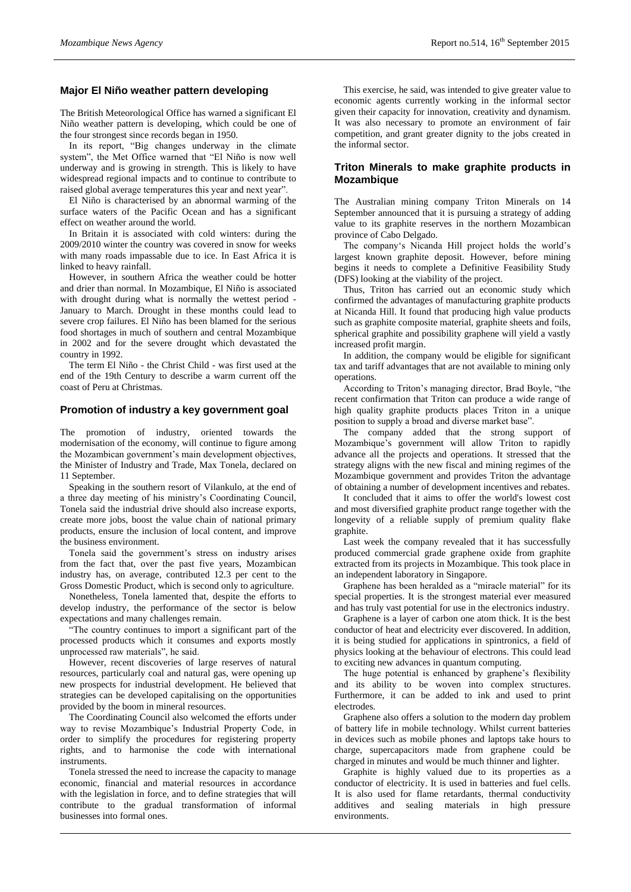#### **Major El Niño weather pattern developing**

The British Meteorological Office has warned a significant El Niño weather pattern is developing, which could be one of the four strongest since records began in 1950.

In its report, "Big changes underway in the climate system", the Met Office warned that "El Niño is now well underway and is growing in strength. This is likely to have widespread regional impacts and to continue to contribute to raised global average temperatures this year and next year".

El Niño is characterised by an abnormal warming of the surface waters of the Pacific Ocean and has a significant effect on weather around the world.

In Britain it is associated with cold winters: during the 2009/2010 winter the country was covered in snow for weeks with many roads impassable due to ice. In East Africa it is linked to heavy rainfall.

However, in southern Africa the weather could be hotter and drier than normal. In Mozambique, El Niño is associated with drought during what is normally the wettest period - January to March. Drought in these months could lead to severe crop failures. El Niño has been blamed for the serious food shortages in much of southern and central Mozambique in 2002 and for the severe drought which devastated the country in 1992.

The term El Niño - the Christ Child - was first used at the end of the 19th Century to describe a warm current off the coast of Peru at Christmas.

#### **Promotion of industry a key government goal**

The promotion of industry, oriented towards the modernisation of the economy, will continue to figure among the Mozambican government's main development objectives, the Minister of Industry and Trade, Max Tonela, declared on 11 September.

Speaking in the southern resort of Vilankulo, at the end of a three day meeting of his ministry's Coordinating Council, Tonela said the industrial drive should also increase exports, create more jobs, boost the value chain of national primary products, ensure the inclusion of local content, and improve the business environment.

Tonela said the government's stress on industry arises from the fact that, over the past five years, Mozambican industry has, on average, contributed 12.3 per cent to the Gross Domestic Product, which is second only to agriculture.

Nonetheless, Tonela lamented that, despite the efforts to develop industry, the performance of the sector is below expectations and many challenges remain.

"The country continues to import a significant part of the processed products which it consumes and exports mostly unprocessed raw materials", he said.

However, recent discoveries of large reserves of natural resources, particularly coal and natural gas, were opening up new prospects for industrial development. He believed that strategies can be developed capitalising on the opportunities provided by the boom in mineral resources.

The Coordinating Council also welcomed the efforts under way to revise Mozambique's Industrial Property Code, in order to simplify the procedures for registering property rights, and to harmonise the code with international instruments.

Tonela stressed the need to increase the capacity to manage economic, financial and material resources in accordance with the legislation in force, and to define strategies that will contribute to the gradual transformation of informal businesses into formal ones.

This exercise, he said, was intended to give greater value to economic agents currently working in the informal sector given their capacity for innovation, creativity and dynamism. It was also necessary to promote an environment of fair competition, and grant greater dignity to the jobs created in the informal sector.

# **Triton Minerals to make graphite products in Mozambique**

The Australian mining company Triton Minerals on 14 September announced that it is pursuing a strategy of adding value to its graphite reserves in the northern Mozambican province of Cabo Delgado.

The company's Nicanda Hill project holds the world's largest known graphite deposit. However, before mining begins it needs to complete a Definitive Feasibility Study (DFS) looking at the viability of the project.

Thus, Triton has carried out an economic study which confirmed the advantages of manufacturing graphite products at Nicanda Hill. It found that producing high value products such as graphite composite material, graphite sheets and foils, spherical graphite and possibility graphene will yield a vastly increased profit margin.

In addition, the company would be eligible for significant tax and tariff advantages that are not available to mining only operations.

According to Triton's managing director, Brad Boyle, "the recent confirmation that Triton can produce a wide range of high quality graphite products places Triton in a unique position to supply a broad and diverse market base".

The company added that the strong support of Mozambique's government will allow Triton to rapidly advance all the projects and operations. It stressed that the strategy aligns with the new fiscal and mining regimes of the Mozambique government and provides Triton the advantage of obtaining a number of development incentives and rebates.

It concluded that it aims to offer the world's lowest cost and most diversified graphite product range together with the longevity of a reliable supply of premium quality flake graphite.

Last week the company revealed that it has successfully produced commercial grade graphene oxide from graphite extracted from its projects in Mozambique. This took place in an independent laboratory in Singapore.

Graphene has been heralded as a "miracle material" for its special properties. It is the strongest material ever measured and has truly vast potential for use in the electronics industry.

Graphene is a layer of carbon one atom thick. It is the best conductor of heat and electricity ever discovered. In addition, it is being studied for applications in spintronics, a field of physics looking at the behaviour of electrons. This could lead to exciting new advances in quantum computing.

The huge potential is enhanced by graphene's flexibility and its ability to be woven into complex structures. Furthermore, it can be added to ink and used to print electrodes.

Graphene also offers a solution to the modern day problem of battery life in mobile technology. Whilst current batteries in devices such as mobile phones and laptops take hours to charge, supercapacitors made from graphene could be charged in minutes and would be much thinner and lighter.

Graphite is highly valued due to its properties as a conductor of electricity. It is used in batteries and fuel cells. It is also used for flame retardants, thermal conductivity additives and sealing materials in high pressure environments.